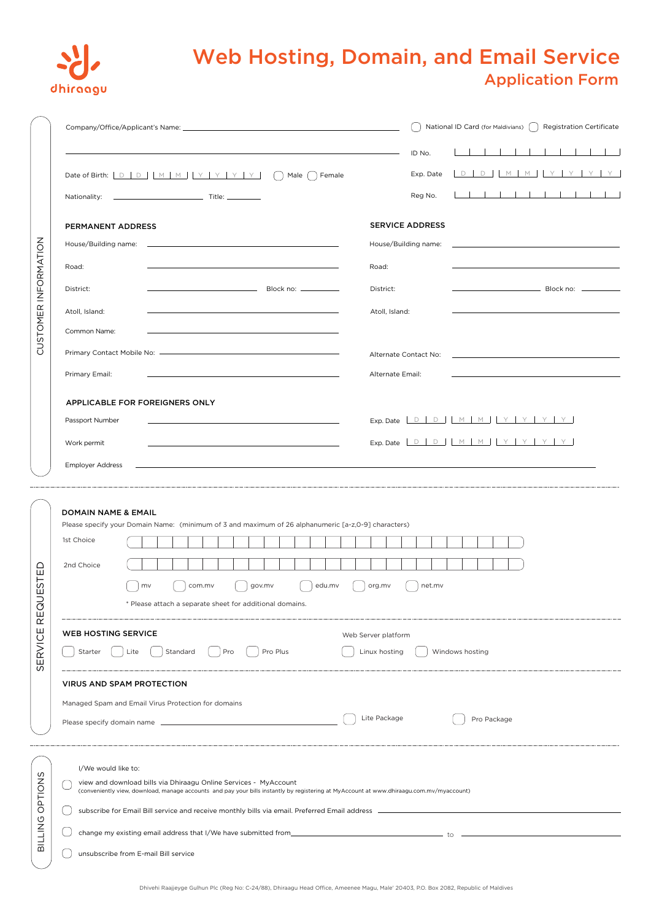

## Web Hosting, Domain, and Email Service Application Form

|                                 |                                                                                                                                                                                                              | National ID Card (for Maldivians) [ ]<br><b>Registration Certificate</b>        |  |
|---------------------------------|--------------------------------------------------------------------------------------------------------------------------------------------------------------------------------------------------------------|---------------------------------------------------------------------------------|--|
| CUSTOMER INFORMATION            |                                                                                                                                                                                                              | ID No.                                                                          |  |
|                                 |                                                                                                                                                                                                              | D D M M Y Y Y Y<br>Exp. Date                                                    |  |
|                                 |                                                                                                                                                                                                              | <u> 1   1   1   1   1   1   1   1   1</u><br>Reg No.                            |  |
|                                 | PERMANENT ADDRESS                                                                                                                                                                                            | <b>SERVICE ADDRESS</b>                                                          |  |
|                                 |                                                                                                                                                                                                              | <u> 1989 - Andrea Stadt, fransk politiker (d. 1989)</u><br>House/Building name: |  |
|                                 | Road:<br>Road:                                                                                                                                                                                               |                                                                                 |  |
|                                 | District:<br>District:                                                                                                                                                                                       |                                                                                 |  |
|                                 |                                                                                                                                                                                                              |                                                                                 |  |
|                                 | Atoll, Island:<br>Atoll, Island:                                                                                                                                                                             |                                                                                 |  |
|                                 | Common Name:                                                                                                                                                                                                 |                                                                                 |  |
|                                 |                                                                                                                                                                                                              | Alternate Contact No:                                                           |  |
| QUESTED<br>ΕŪ<br><b>SERVICE</b> | Primary Email:<br>Alternate Email:                                                                                                                                                                           |                                                                                 |  |
|                                 | APPLICABLE FOR FOREIGNERS ONLY                                                                                                                                                                               |                                                                                 |  |
|                                 | Passport Number                                                                                                                                                                                              | Exp. Date $D D M M M Y Y Y Y$                                                   |  |
|                                 | Work permit                                                                                                                                                                                                  |                                                                                 |  |
|                                 | <b>Employer Address</b>                                                                                                                                                                                      |                                                                                 |  |
|                                 |                                                                                                                                                                                                              |                                                                                 |  |
|                                 | <b>DOMAIN NAME &amp; EMAIL</b><br>Please specify your Domain Name: (minimum of 3 and maximum of 26 alphanumeric [a-z, 0-9] characters)<br>1st Choice                                                         |                                                                                 |  |
|                                 |                                                                                                                                                                                                              |                                                                                 |  |
|                                 | 2nd Choice                                                                                                                                                                                                   |                                                                                 |  |
|                                 | edu.mv<br>org.mv<br>com.mv<br>gov.mv<br>mv                                                                                                                                                                   | net.mv                                                                          |  |
|                                 | * Please attach a separate sheet for additional domains.                                                                                                                                                     |                                                                                 |  |
|                                 | WEB HOSTING SERVICE<br>Web Server platform                                                                                                                                                                   |                                                                                 |  |
|                                 | nero<br>Lite  <br>Standard<br>Starter<br>Pro Plus<br>Linux hosting<br>Windows hosting                                                                                                                        |                                                                                 |  |
|                                 | <b>VIRUS AND SPAM PROTECTION</b>                                                                                                                                                                             |                                                                                 |  |
|                                 | Managed Spam and Email Virus Protection for domains                                                                                                                                                          |                                                                                 |  |
|                                 | Lite Package                                                                                                                                                                                                 | Pro Package                                                                     |  |
|                                 |                                                                                                                                                                                                              |                                                                                 |  |
| BILLING OPTIONS                 | I/We would like to:                                                                                                                                                                                          |                                                                                 |  |
|                                 | view and download bills via Dhiraagu Online Services - MyAccount<br>(conveniently view, download, manage accounts and pay your bills instantly by registering at MyAccount at www.dhiraagu.com.mv/myaccount) |                                                                                 |  |
|                                 |                                                                                                                                                                                                              |                                                                                 |  |
|                                 |                                                                                                                                                                                                              |                                                                                 |  |
|                                 | unsubscribe from E-mail Bill service                                                                                                                                                                         |                                                                                 |  |
|                                 |                                                                                                                                                                                                              |                                                                                 |  |